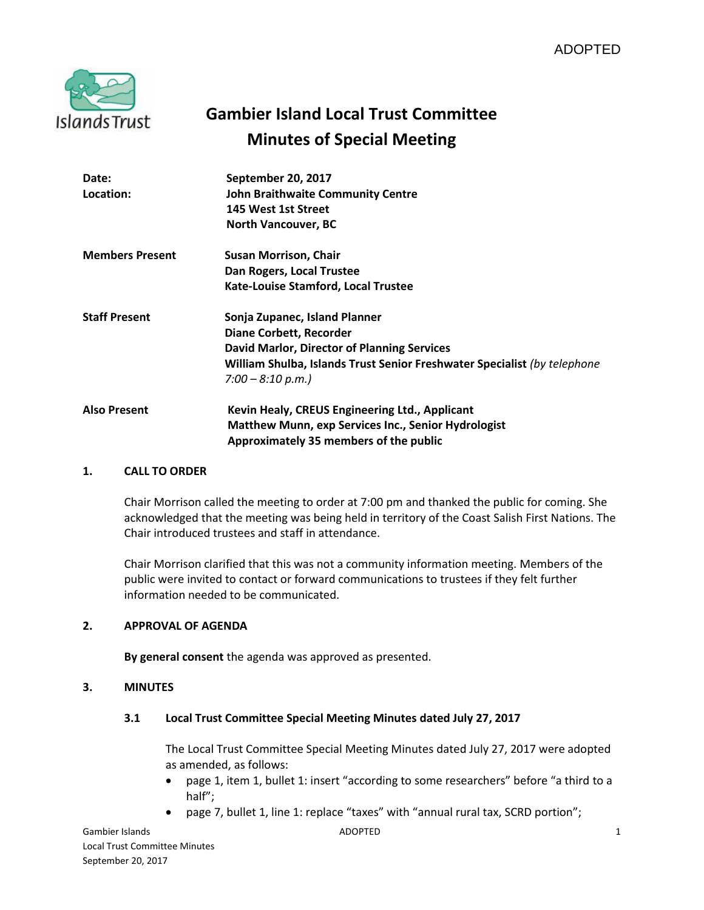

# **Gambier Island Local Trust Committee Minutes of Special Meeting**

| Date:                  | September 20, 2017                                                       |
|------------------------|--------------------------------------------------------------------------|
| Location:              | <b>John Braithwaite Community Centre</b>                                 |
|                        | 145 West 1st Street                                                      |
|                        | <b>North Vancouver, BC</b>                                               |
| <b>Members Present</b> | <b>Susan Morrison, Chair</b>                                             |
|                        | Dan Rogers, Local Trustee                                                |
|                        | Kate-Louise Stamford, Local Trustee                                      |
| <b>Staff Present</b>   | Sonja Zupanec, Island Planner                                            |
|                        | <b>Diane Corbett, Recorder</b>                                           |
|                        | <b>David Marlor, Director of Planning Services</b>                       |
|                        | William Shulba, Islands Trust Senior Freshwater Specialist (by telephone |
|                        | $7:00 - 8:10 p.m.$                                                       |
| <b>Also Present</b>    | Kevin Healy, CREUS Engineering Ltd., Applicant                           |
|                        | Matthew Munn, exp Services Inc., Senior Hydrologist                      |
|                        | Approximately 35 members of the public                                   |

#### **1. CALL TO ORDER**

Chair Morrison called the meeting to order at 7:00 pm and thanked the public for coming. She acknowledged that the meeting was being held in territory of the Coast Salish First Nations. The Chair introduced trustees and staff in attendance.

Chair Morrison clarified that this was not a community information meeting. Members of the public were invited to contact or forward communications to trustees if they felt further information needed to be communicated.

# **2. APPROVAL OF AGENDA**

**By general consent** the agenda was approved as presented.

#### **3. MINUTES**

#### **3.1 Local Trust Committee Special Meeting Minutes dated July 27, 2017**

The Local Trust Committee Special Meeting Minutes dated July 27, 2017 were adopted as amended, as follows:

- page 1, item 1, bullet 1: insert "according to some researchers" before "a third to a half";
- page 7, bullet 1, line 1: replace "taxes" with "annual rural tax, SCRD portion";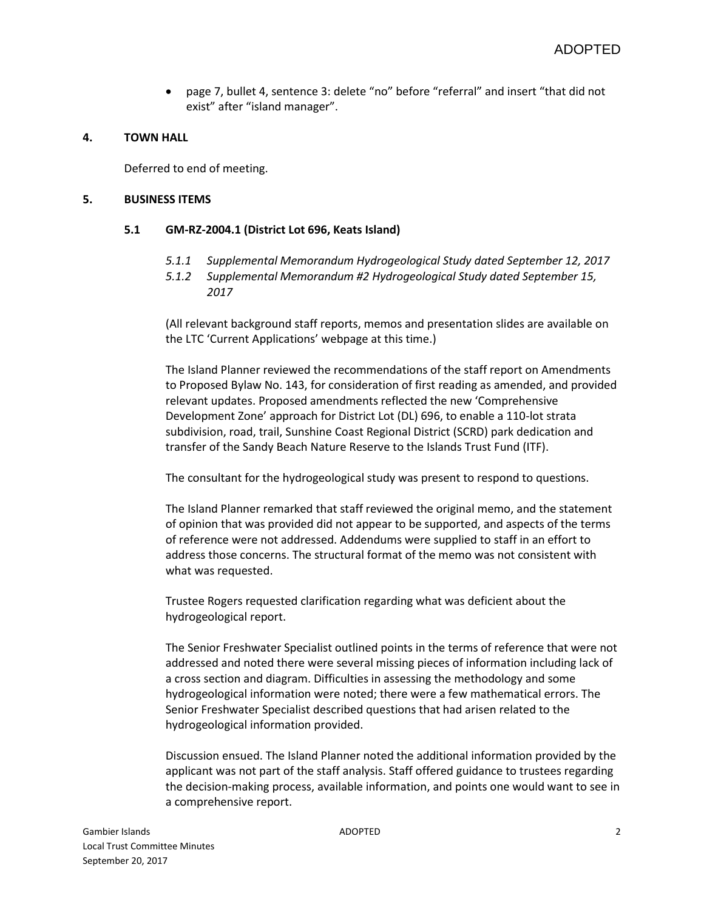page 7, bullet 4, sentence 3: delete "no" before "referral" and insert "that did not exist" after "island manager".

# **4. TOWN HALL**

Deferred to end of meeting.

#### **5. BUSINESS ITEMS**

# **5.1 GM-RZ-2004.1 (District Lot 696, Keats Island)**

- *5.1.1 Supplemental Memorandum Hydrogeological Study dated September 12, 2017*
- *5.1.2 Supplemental Memorandum #2 Hydrogeological Study dated September 15, 2017*

(All relevant background staff reports, memos and presentation slides are available on the LTC 'Current Applications' webpage at this time.)

The Island Planner reviewed the recommendations of the staff report on Amendments to Proposed Bylaw No. 143, for consideration of first reading as amended, and provided relevant updates. Proposed amendments reflected the new 'Comprehensive Development Zone' approach for District Lot (DL) 696, to enable a 110-lot strata subdivision, road, trail, Sunshine Coast Regional District (SCRD) park dedication and transfer of the Sandy Beach Nature Reserve to the Islands Trust Fund (ITF).

The consultant for the hydrogeological study was present to respond to questions.

The Island Planner remarked that staff reviewed the original memo, and the statement of opinion that was provided did not appear to be supported, and aspects of the terms of reference were not addressed. Addendums were supplied to staff in an effort to address those concerns. The structural format of the memo was not consistent with what was requested.

Trustee Rogers requested clarification regarding what was deficient about the hydrogeological report.

The Senior Freshwater Specialist outlined points in the terms of reference that were not addressed and noted there were several missing pieces of information including lack of a cross section and diagram. Difficulties in assessing the methodology and some hydrogeological information were noted; there were a few mathematical errors. The Senior Freshwater Specialist described questions that had arisen related to the hydrogeological information provided.

Discussion ensued. The Island Planner noted the additional information provided by the applicant was not part of the staff analysis. Staff offered guidance to trustees regarding the decision-making process, available information, and points one would want to see in a comprehensive report.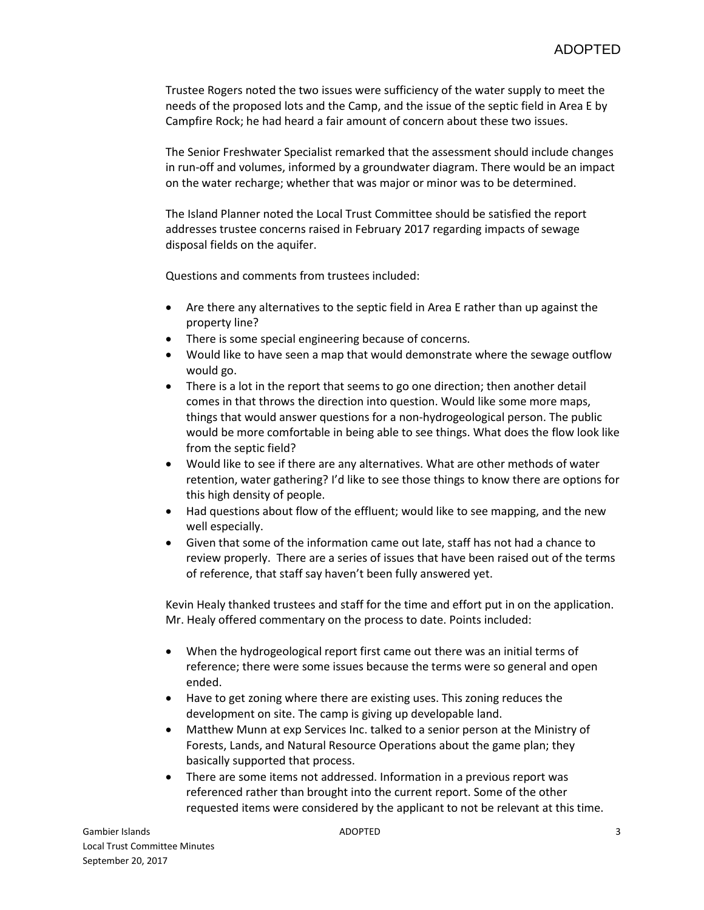Trustee Rogers noted the two issues were sufficiency of the water supply to meet the needs of the proposed lots and the Camp, and the issue of the septic field in Area E by Campfire Rock; he had heard a fair amount of concern about these two issues.

The Senior Freshwater Specialist remarked that the assessment should include changes in run-off and volumes, informed by a groundwater diagram. There would be an impact on the water recharge; whether that was major or minor was to be determined.

The Island Planner noted the Local Trust Committee should be satisfied the report addresses trustee concerns raised in February 2017 regarding impacts of sewage disposal fields on the aquifer.

Questions and comments from trustees included:

- Are there any alternatives to the septic field in Area E rather than up against the property line?
- There is some special engineering because of concerns.
- Would like to have seen a map that would demonstrate where the sewage outflow would go.
- There is a lot in the report that seems to go one direction; then another detail comes in that throws the direction into question. Would like some more maps, things that would answer questions for a non-hydrogeological person. The public would be more comfortable in being able to see things. What does the flow look like from the septic field?
- Would like to see if there are any alternatives. What are other methods of water retention, water gathering? I'd like to see those things to know there are options for this high density of people.
- Had questions about flow of the effluent; would like to see mapping, and the new well especially.
- Given that some of the information came out late, staff has not had a chance to review properly. There are a series of issues that have been raised out of the terms of reference, that staff say haven't been fully answered yet.

Kevin Healy thanked trustees and staff for the time and effort put in on the application. Mr. Healy offered commentary on the process to date. Points included:

- When the hydrogeological report first came out there was an initial terms of reference; there were some issues because the terms were so general and open ended.
- Have to get zoning where there are existing uses. This zoning reduces the development on site. The camp is giving up developable land.
- Matthew Munn at exp Services Inc. talked to a senior person at the Ministry of Forests, Lands, and Natural Resource Operations about the game plan; they basically supported that process.
- There are some items not addressed. Information in a previous report was referenced rather than brought into the current report. Some of the other requested items were considered by the applicant to not be relevant at this time.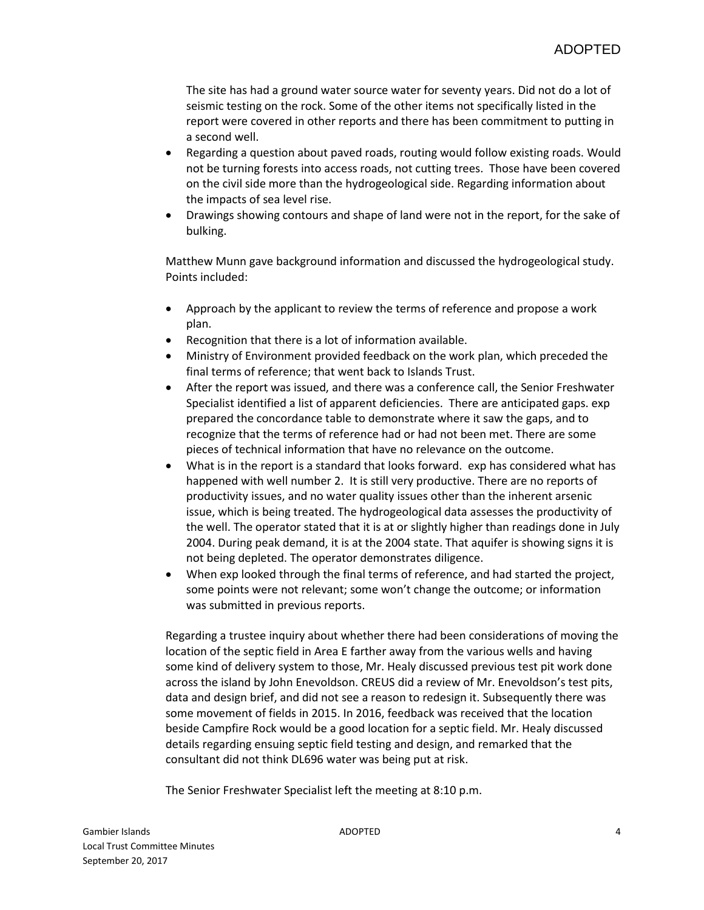The site has had a ground water source water for seventy years. Did not do a lot of seismic testing on the rock. Some of the other items not specifically listed in the report were covered in other reports and there has been commitment to putting in a second well.

- Regarding a question about paved roads, routing would follow existing roads. Would not be turning forests into access roads, not cutting trees. Those have been covered on the civil side more than the hydrogeological side. Regarding information about the impacts of sea level rise.
- Drawings showing contours and shape of land were not in the report, for the sake of bulking.

Matthew Munn gave background information and discussed the hydrogeological study. Points included:

- Approach by the applicant to review the terms of reference and propose a work plan.
- Recognition that there is a lot of information available.
- Ministry of Environment provided feedback on the work plan, which preceded the final terms of reference; that went back to Islands Trust.
- After the report was issued, and there was a conference call, the Senior Freshwater Specialist identified a list of apparent deficiencies. There are anticipated gaps. exp prepared the concordance table to demonstrate where it saw the gaps, and to recognize that the terms of reference had or had not been met. There are some pieces of technical information that have no relevance on the outcome.
- What is in the report is a standard that looks forward. exp has considered what has happened with well number 2. It is still very productive. There are no reports of productivity issues, and no water quality issues other than the inherent arsenic issue, which is being treated. The hydrogeological data assesses the productivity of the well. The operator stated that it is at or slightly higher than readings done in July 2004. During peak demand, it is at the 2004 state. That aquifer is showing signs it is not being depleted. The operator demonstrates diligence.
- When exp looked through the final terms of reference, and had started the project, some points were not relevant; some won't change the outcome; or information was submitted in previous reports.

Regarding a trustee inquiry about whether there had been considerations of moving the location of the septic field in Area E farther away from the various wells and having some kind of delivery system to those, Mr. Healy discussed previous test pit work done across the island by John Enevoldson. CREUS did a review of Mr. Enevoldson's test pits, data and design brief, and did not see a reason to redesign it. Subsequently there was some movement of fields in 2015. In 2016, feedback was received that the location beside Campfire Rock would be a good location for a septic field. Mr. Healy discussed details regarding ensuing septic field testing and design, and remarked that the consultant did not think DL696 water was being put at risk.

The Senior Freshwater Specialist left the meeting at 8:10 p.m.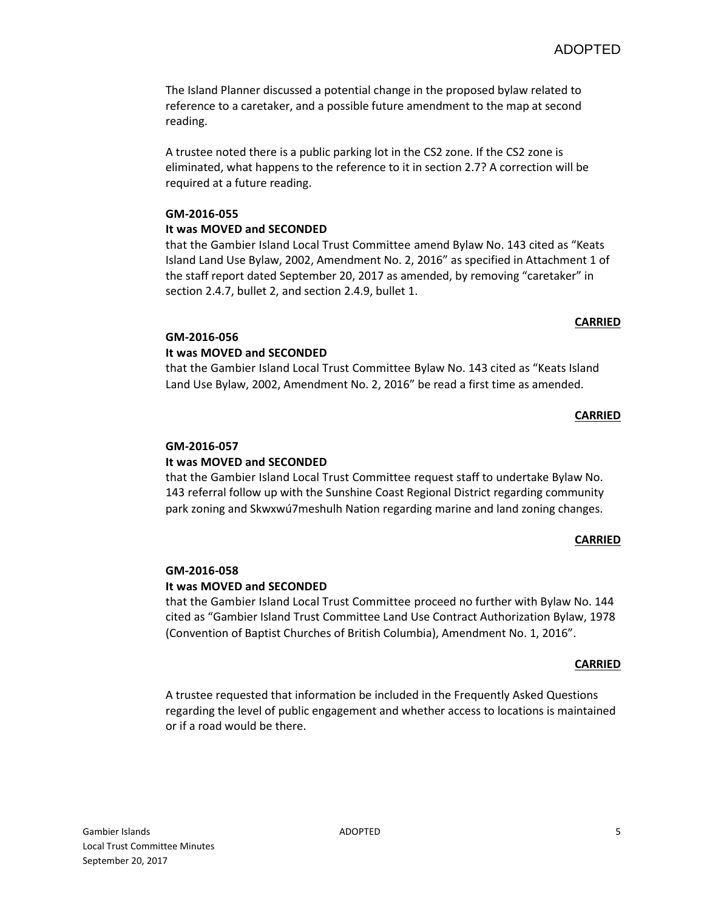The Island Planner discussed a potential change in the proposed bylaw related to reference to a caretaker, and a possible future amendment to the map at second reading.

A trustee noted there is a public parking lot in the CS2 zone. If the CS2 zone is eliminated, what happens to the reference to it in section 2.7? A correction will be required at a future reading.

# **GM-2016-055**

# **It was MOVED and SECONDED**

that the Gambier Island Local Trust Committee amend Bylaw No. 143 cited as "Keats Island Land Use Bylaw, 2002, Amendment No. 2, 2016" as specified in Attachment 1 of the staff report dated September 20, 2017 as amended, by removing "caretaker" in section 2.4.7, bullet 2, and section 2.4.9, bullet 1.

# **GM-2016-056**

# **It was MOVED and SECONDED**

that the Gambier Island Local Trust Committee Bylaw No. 143 cited as "Keats Island Land Use Bylaw, 2002, Amendment No. 2, 2016" be read a first time as amended.

# **CARRIED**

**CARRIED**

# **GM-2016-057**

# **It was MOVED and SECONDED**

that the Gambier Island Local Trust Committee request staff to undertake Bylaw No. 143 referral follow up with the Sunshine Coast Regional District regarding community park zoning and Skwxwú7meshulh Nation regarding marine and land zoning changes.

#### **CARRIED**

# **GM-2016-058**

# **It was MOVED and SECONDED**

that the Gambier Island Local Trust Committee proceed no further with Bylaw No. 144 cited as "Gambier Island Trust Committee Land Use Contract Authorization Bylaw, 1978 (Convention of Baptist Churches of British Columbia), Amendment No. 1, 2016".

#### **CARRIED**

A trustee requested that information be included in the Frequently Asked Questions regarding the level of public engagement and whether access to locations is maintained or if a road would be there.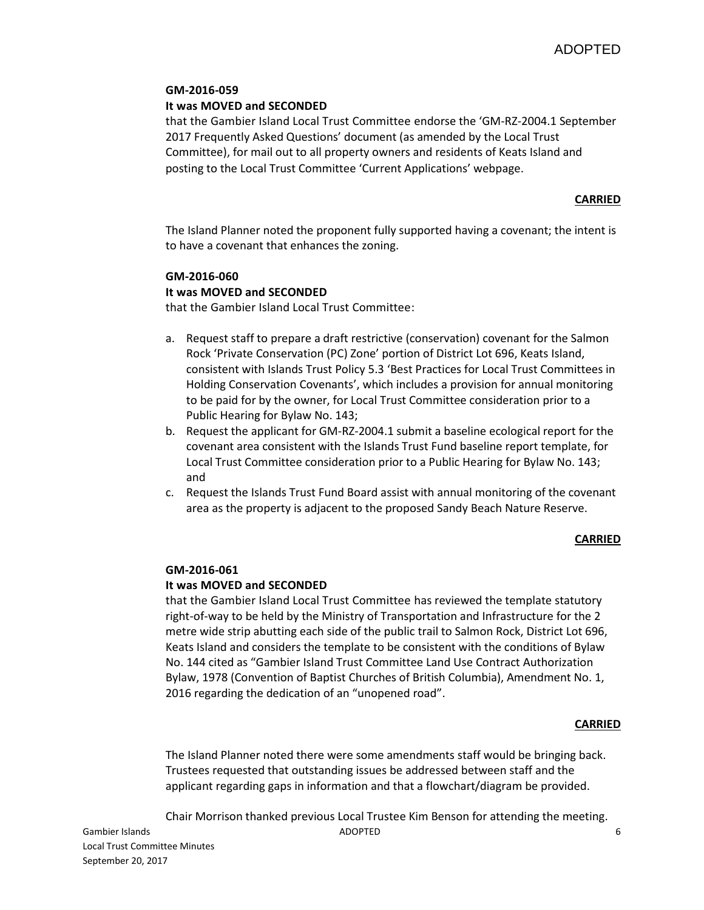# **GM-2016-059**

#### **It was MOVED and SECONDED**

that the Gambier Island Local Trust Committee endorse the 'GM-RZ-2004.1 September 2017 Frequently Asked Questions' document (as amended by the Local Trust Committee), for mail out to all property owners and residents of Keats Island and posting to the Local Trust Committee 'Current Applications' webpage.

# **CARRIED**

The Island Planner noted the proponent fully supported having a covenant; the intent is to have a covenant that enhances the zoning.

# **GM-2016-060**

# **It was MOVED and SECONDED**

that the Gambier Island Local Trust Committee:

- a. Request staff to prepare a draft restrictive (conservation) covenant for the Salmon Rock 'Private Conservation (PC) Zone' portion of District Lot 696, Keats Island, consistent with Islands Trust Policy 5.3 'Best Practices for Local Trust Committees in Holding Conservation Covenants', which includes a provision for annual monitoring to be paid for by the owner, for Local Trust Committee consideration prior to a Public Hearing for Bylaw No. 143;
- b. Request the applicant for GM-RZ-2004.1 submit a baseline ecological report for the covenant area consistent with the Islands Trust Fund baseline report template, for Local Trust Committee consideration prior to a Public Hearing for Bylaw No. 143; and
- c. Request the Islands Trust Fund Board assist with annual monitoring of the covenant area as the property is adjacent to the proposed Sandy Beach Nature Reserve.

#### **CARRIED**

#### **GM-2016-061**

#### **It was MOVED and SECONDED**

that the Gambier Island Local Trust Committee has reviewed the template statutory right-of-way to be held by the Ministry of Transportation and Infrastructure for the 2 metre wide strip abutting each side of the public trail to Salmon Rock, District Lot 696, Keats Island and considers the template to be consistent with the conditions of Bylaw No. 144 cited as "Gambier Island Trust Committee Land Use Contract Authorization Bylaw, 1978 (Convention of Baptist Churches of British Columbia), Amendment No. 1, 2016 regarding the dedication of an "unopened road".

#### **CARRIED**

The Island Planner noted there were some amendments staff would be bringing back. Trustees requested that outstanding issues be addressed between staff and the applicant regarding gaps in information and that a flowchart/diagram be provided.

Chair Morrison thanked previous Local Trustee Kim Benson for attending the meeting.